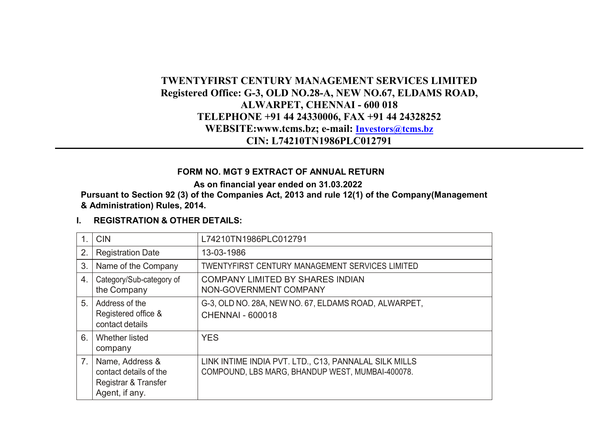# **TWENTYFIRST CENTURY MANAGEMENT SERVICES LIMITED Registered Office: G-3, OLD NO.28-A, NEW NO.67, ELDAMS ROAD, ALWARPET, CHENNAI - 600 018 TELEPHONE +91 44 24330006, FAX +91 44 24328252 WEBSITE:www.tcms.bz; e-mail: [Investors@tcms.bz](mailto:Investors@tcms.bz) CIN: L74210TN1986PLC012791**

#### **FORM NO. MGT 9 EXTRACT OF ANNUAL RETURN**

**As on financial year ended on 31.03.2022**

**Pursuant to Section 92 (3) of the Companies Act, 2013 and rule 12(1) of the Company(Management & Administration) Rules, 2014.**

### **I. REGISTRATION & OTHER DETAILS:**

|                | <b>CIN</b>                                                                          | L74210TN1986PLC012791                                                                                     |
|----------------|-------------------------------------------------------------------------------------|-----------------------------------------------------------------------------------------------------------|
| 2.             | <b>Registration Date</b>                                                            | 13-03-1986                                                                                                |
| 3              | Name of the Company                                                                 | TWENTYFIRST CENTURY MANAGEMENT SERVICES LIMITED                                                           |
| 4.             | Category/Sub-category of<br>the Company                                             | COMPANY LIMITED BY SHARES INDIAN<br>NON-GOVERNMENT COMPANY                                                |
| 5.             | Address of the<br>Registered office &<br>contact details                            | G-3, OLD NO. 28A, NEW NO. 67, ELDAMS ROAD, ALWARPET,<br><b>CHENNAI - 600018</b>                           |
| 6.             | Whether listed<br>company                                                           | <b>YES</b>                                                                                                |
| 7 <sub>1</sub> | Name, Address &<br>contact details of the<br>Registrar & Transfer<br>Agent, if any. | LINK INTIME INDIA PVT. LTD., C13, PANNALAL SILK MILLS<br>COMPOUND, LBS MARG, BHANDUP WEST, MUMBAI-400078. |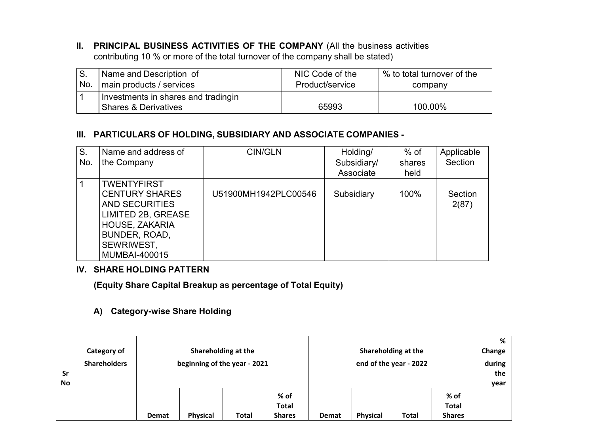**II. PRINCIPAL BUSINESS ACTIVITIES OF THE COMPANY** (All the business activities contributing 10 % or more of the total turnover of the company shall be stated)

| S.  | Name and Description of             | NIC Code of the | % to total turnover of the |
|-----|-------------------------------------|-----------------|----------------------------|
| No. | main products / services            | Product/service | company                    |
|     | Investments in shares and tradingin |                 |                            |
|     | l Shares & Derivatives              | 65993           | 100.00%                    |

#### **III. PARTICULARS OF HOLDING, SUBSIDIARY AND ASSOCIATE COMPANIES -**

| S.  | Name and address of   | CIN/GLN              | Holding/    | % of   | Applicable |
|-----|-----------------------|----------------------|-------------|--------|------------|
| No. | the Company           |                      | Subsidiary/ | shares | Section    |
|     |                       |                      | Associate   | held   |            |
|     | <b>TWENTYFIRST</b>    |                      |             |        |            |
|     | <b>CENTURY SHARES</b> | U51900MH1942PLC00546 | Subsidiary  | 100%   | Section    |
|     | AND SECURITIES        |                      |             |        | 2(87)      |
|     | LIMITED 2B, GREASE    |                      |             |        |            |
|     | HOUSE, ZAKARIA        |                      |             |        |            |
|     | BUNDER, ROAD,         |                      |             |        |            |
|     | SEWRIWEST,            |                      |             |        |            |
|     | MUMBAI-400015         |                      |             |        |            |

#### **IV. SHARE HOLDING PATTERN**

**(Equity Share Capital Breakup as percentage of Total Equity)**

### **A) Category-wise Share Holding**

| <b>Sr</b><br>No | Category of<br><b>Shareholders</b> |       | beginning of the year - 2021 | Shareholding at the |                                         |       |                 | Shareholding at the<br>end of the year - 2022 |                                       | %<br>Change<br>during<br>the<br>year |
|-----------------|------------------------------------|-------|------------------------------|---------------------|-----------------------------------------|-------|-----------------|-----------------------------------------------|---------------------------------------|--------------------------------------|
|                 |                                    | Demat | Physical                     | <b>Total</b>        | $%$ of<br><b>Total</b><br><b>Shares</b> | Demat | <b>Physical</b> | Total                                         | % of<br><b>Total</b><br><b>Shares</b> |                                      |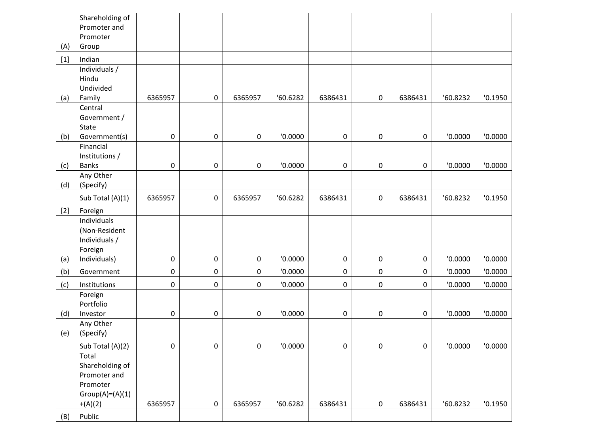|       | Shareholding of<br>Promoter and<br>Promoter                               |         |                     |                     |          |             |   |                     |          |         |
|-------|---------------------------------------------------------------------------|---------|---------------------|---------------------|----------|-------------|---|---------------------|----------|---------|
| (A)   | Group                                                                     |         |                     |                     |          |             |   |                     |          |         |
| $[1]$ | Indian                                                                    |         |                     |                     |          |             |   |                     |          |         |
| (a)   | Individuals /<br>Hindu<br>Undivided<br>Family                             | 6365957 | 0                   | 6365957             | '60.6282 | 6386431     | 0 | 6386431             | '60.8232 | '0.1950 |
|       | Central<br>Government /<br>State                                          |         |                     |                     |          |             |   |                     |          |         |
| (b)   | Government(s)<br>Financial                                                | 0       | 0                   | 0                   | '0.0000  | $\mathsf 0$ | 0 | 0                   | '0.0000  | '0.0000 |
| (c)   | Institutions /<br><b>Banks</b>                                            | 0       | 0                   | 0                   | '0.0000  | 0           | 0 | $\mathsf{O}\xspace$ | '0.0000  | '0.0000 |
| (d)   | Any Other<br>(Specify)                                                    |         |                     |                     |          |             |   |                     |          |         |
|       | Sub Total (A)(1)                                                          | 6365957 | $\mathsf{O}\xspace$ | 6365957             | '60.6282 | 6386431     | 0 | 6386431             | '60.8232 | '0.1950 |
| $[2]$ | Foreign                                                                   |         |                     |                     |          |             |   |                     |          |         |
| (a)   | Individuals<br>(Non-Resident<br>Individuals /<br>Foreign<br>Individuals)  | 0       | 0                   | 0                   | '0.0000  | $\mathsf 0$ | 0 | 0                   | '0.0000  | '0.0000 |
| (b)   | Government                                                                | 0       | $\mathsf 0$         | $\mathsf{O}\xspace$ | '0.0000  | $\mathsf 0$ | 0 | 0                   | '0.0000  | '0.0000 |
| (c)   | Institutions                                                              | 0       | $\pmb{0}$           | $\mathbf 0$         | '0.0000  | $\mathsf 0$ | 0 | 0                   | '0.0000  | '0.0000 |
| (d)   | Foreign<br>Portfolio<br>Investor                                          | 0       | 0                   | 0                   | '0.0000  | 0           | 0 | 0                   | '0.0000  | '0.0000 |
| (e)   | Any Other<br>(Specify)                                                    |         |                     |                     |          |             |   |                     |          |         |
|       | Sub Total (A)(2)                                                          | 0       | $\pmb{0}$           | $\pmb{0}$           | '0.0000  | $\mathsf 0$ | 0 | $\pmb{0}$           | '0.0000  | '0.0000 |
|       | Total<br>Shareholding of<br>Promoter and<br>Promoter<br>$Group(A)=(A)(1)$ |         |                     |                     |          |             |   |                     |          |         |
|       | $+(A)(2)$                                                                 | 6365957 | 0                   | 6365957             | '60.6282 | 6386431     | 0 | 6386431             | '60.8232 | '0.1950 |
| (B)   | Public                                                                    |         |                     |                     |          |             |   |                     |          |         |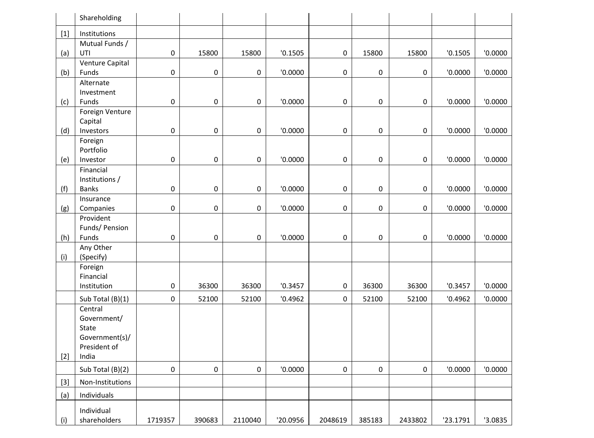|       | Shareholding                                |             |        |         |          |         |        |                     |          |         |
|-------|---------------------------------------------|-------------|--------|---------|----------|---------|--------|---------------------|----------|---------|
| $[1]$ | Institutions                                |             |        |         |          |         |        |                     |          |         |
|       | Mutual Funds /                              |             |        |         |          |         |        |                     |          |         |
| (a)   | UTI                                         | 0           | 15800  | 15800   | '0.1505  | 0       | 15800  | 15800               | '0.1505  | '0.0000 |
| (b)   | Venture Capital<br>Funds                    | 0           | 0      | 0       | '0.0000  | 0       | 0      | 0                   | '0.0000  | '0.0000 |
|       | Alternate<br>Investment                     |             |        |         |          |         |        |                     |          |         |
| (c)   | Funds<br>Foreign Venture                    | 0           | 0      | 0       | '0.0000  | 0       | 0      | 0                   | '0.0000  | '0.0000 |
| (d)   | Capital<br>Investors                        | 0           | 0      | 0       | '0.0000  | 0       | 0      | 0                   | '0.0000  | '0.0000 |
|       | Foreign<br>Portfolio                        |             |        |         |          |         |        |                     |          |         |
| (e)   | Investor                                    | $\mathsf 0$ | 0      | 0       | '0.0000  | 0       | 0      | $\mathbf 0$         | '0.0000  | '0.0000 |
| (f)   | Financial<br>Institutions /<br><b>Banks</b> | $\mathsf 0$ | 0      | 0       | '0.0000  | 0       | 0      | 0                   | '0.0000  | '0.0000 |
|       | Insurance                                   |             |        |         |          |         |        |                     |          |         |
| (g)   | Companies                                   | $\pmb{0}$   | 0      | 0       | '0.0000  | 0       | 0      | $\mathsf{O}\xspace$ | '0.0000  | '0.0000 |
| (h)   | Provident<br>Funds/ Pension<br>Funds        | 0           | 0      | 0       | '0.0000  | 0       | 0      | $\mathbf 0$         | '0.0000  | '0.0000 |
|       | Any Other                                   |             |        |         |          |         |        |                     |          |         |
| (i)   | (Specify)                                   |             |        |         |          |         |        |                     |          |         |
|       | Foreign                                     |             |        |         |          |         |        |                     |          |         |
|       | Financial                                   |             |        |         |          |         |        |                     |          |         |
|       | Institution                                 | $\pmb{0}$   | 36300  | 36300   | '0.3457  | 0       | 36300  | 36300               | '0.3457  | '0.0000 |
|       | Sub Total (B)(1)                            | 0           | 52100  | 52100   | '0.4962  | 0       | 52100  | 52100               | '0.4962  | '0.0000 |
|       | Central<br>Government/                      |             |        |         |          |         |        |                     |          |         |
|       | State                                       |             |        |         |          |         |        |                     |          |         |
|       | Government(s)/                              |             |        |         |          |         |        |                     |          |         |
|       | President of                                |             |        |         |          |         |        |                     |          |         |
| $[2]$ | India                                       |             |        |         |          |         |        |                     |          |         |
|       | Sub Total (B)(2)                            | $\Omega$    | 0      | 0       | '0.0000  | 0       | 0      | $\mathbf 0$         | '0.0000  | '0.0000 |
| $[3]$ | Non-Institutions                            |             |        |         |          |         |        |                     |          |         |
| (a)   | Individuals                                 |             |        |         |          |         |        |                     |          |         |
| (i)   | Individual<br>shareholders                  | 1719357     | 390683 | 2110040 | '20.0956 | 2048619 | 385183 | 2433802             | '23.1791 | '3.0835 |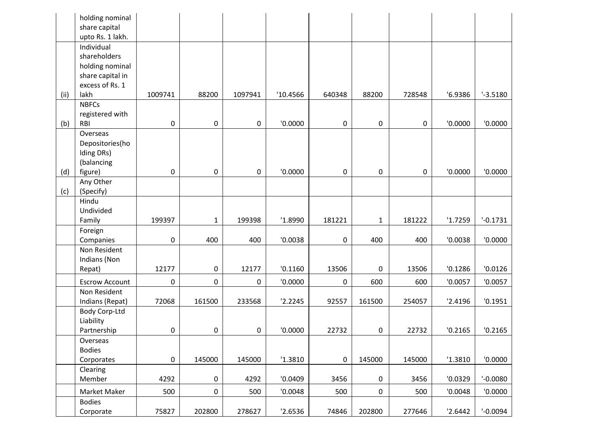|      | holding nominal<br>share capital |         |              |         |          |             |              |        |         |             |
|------|----------------------------------|---------|--------------|---------|----------|-------------|--------------|--------|---------|-------------|
|      | upto Rs. 1 lakh.                 |         |              |         |          |             |              |        |         |             |
|      | Individual                       |         |              |         |          |             |              |        |         |             |
|      | shareholders                     |         |              |         |          |             |              |        |         |             |
|      | holding nominal                  |         |              |         |          |             |              |        |         |             |
|      | share capital in                 |         |              |         |          |             |              |        |         |             |
|      | excess of Rs. 1                  |         |              |         |          |             |              |        |         |             |
| (ii) | lakh                             | 1009741 | 88200        | 1097941 | '10.4566 | 640348      | 88200        | 728548 | '6.9386 | $-3.5180$   |
|      | <b>NBFCs</b>                     |         |              |         |          |             |              |        |         |             |
|      | registered with                  |         |              |         |          |             |              |        |         |             |
| (b)  | RBI                              | 0       | 0            | 0       | '0.0000  | 0           | 0            | 0      | '0.0000 | '0.0000     |
|      | Overseas                         |         |              |         |          |             |              |        |         |             |
|      | Depositories(ho                  |         |              |         |          |             |              |        |         |             |
|      | Iding DRs)                       |         |              |         |          |             |              |        |         |             |
|      | (balancing                       |         |              |         |          |             |              |        |         |             |
| (d)  | figure)                          | 0       | $\mathsf 0$  | 0       | '0.0000  | 0           | 0            | 0      | '0.0000 | '0.0000     |
|      | Any Other                        |         |              |         |          |             |              |        |         |             |
| (c)  | (Specify)                        |         |              |         |          |             |              |        |         |             |
|      | Hindu                            |         |              |         |          |             |              |        |         |             |
|      | Undivided                        |         |              |         |          |             |              |        |         | $' -0.1731$ |
|      | Family                           | 199397  | $\mathbf{1}$ | 199398  | '1.8990  | 181221      | $\mathbf{1}$ | 181222 | '1.7259 |             |
|      | Foreign                          |         |              |         |          |             |              |        |         |             |
|      | Companies                        | 0       | 400          | 400     | '0.0038  | 0           | 400          | 400    | '0.0038 | '0.0000     |
|      | Non Resident                     |         |              |         |          |             |              |        |         |             |
|      | Indians (Non                     | 12177   | 0            | 12177   | '0.1160  |             |              |        | '0.1286 | '0.0126     |
|      | Repat)                           |         |              |         |          | 13506       | 0            | 13506  |         |             |
|      | <b>Escrow Account</b>            | 0       | $\pmb{0}$    | 0       | '0.0000  | $\mathsf 0$ | 600          | 600    | '0.0057 | '0.0057     |
|      | Non Resident                     |         |              |         |          |             |              |        |         |             |
|      | Indians (Repat)                  | 72068   | 161500       | 233568  | '2.2245  | 92557       | 161500       | 254057 | '2.4196 | '0.1951     |
|      | Body Corp-Ltd                    |         |              |         |          |             |              |        |         |             |
|      | Liability                        |         |              |         |          |             |              |        |         |             |
|      | Partnership                      | 0       | $\mathsf 0$  | 0       | '0.0000  | 22732       | 0            | 22732  | '0.2165 | '0.2165     |
|      | Overseas                         |         |              |         |          |             |              |        |         |             |
|      | <b>Bodies</b>                    |         |              |         |          |             |              |        |         |             |
|      | Corporates                       | 0       | 145000       | 145000  | '1.3810  | 0           | 145000       | 145000 | '1.3810 | '0.0000     |
|      | Clearing                         |         |              |         |          |             |              |        |         |             |
|      | Member                           | 4292    | 0            | 4292    | '0.0409  | 3456        | 0            | 3456   | '0.0329 | $' -0.0080$ |
|      | Market Maker                     | 500     | 0            | 500     | '0.0048  | 500         | 0            | 500    | '0.0048 | '0.0000     |
|      | <b>Bodies</b>                    |         |              |         |          |             |              |        |         |             |
|      | Corporate                        | 75827   | 202800       | 278627  | '2.6536  | 74846       | 202800       | 277646 | '2.6442 | $-0.0094$   |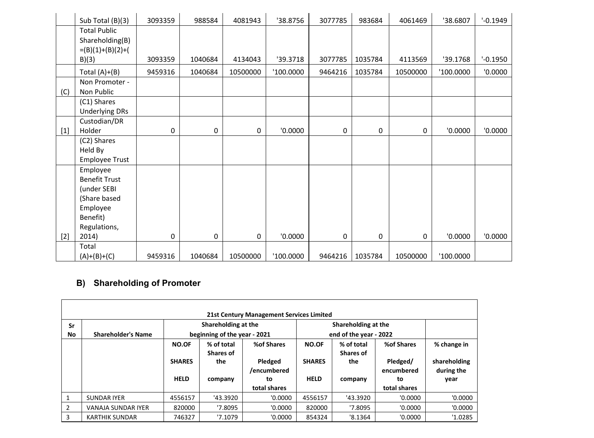|       | Sub Total (B)(3)                                                                                        | 3093359 | 988584  | 4081943  | '38.8756  | 3077785 | 983684      | 4061469  | '38.6807  | $' -0.1949$ |
|-------|---------------------------------------------------------------------------------------------------------|---------|---------|----------|-----------|---------|-------------|----------|-----------|-------------|
|       | <b>Total Public</b><br>Shareholding(B)<br>$=(B)(1)+(B)(2)+($<br>B)(3)                                   | 3093359 | 1040684 | 4134043  | '39.3718  | 3077785 | 1035784     | 4113569  | '39.1768  | $' -0.1950$ |
|       | Total $(A)+(B)$                                                                                         | 9459316 | 1040684 | 10500000 | '100.0000 | 9464216 | 1035784     | 10500000 | '100.0000 | 0.0000      |
| (C)   | Non Promoter -<br>Non Public                                                                            |         |         |          |           |         |             |          |           |             |
|       | (C1) Shares<br><b>Underlying DRs</b>                                                                    |         |         |          |           |         |             |          |           |             |
| $[1]$ | Custodian/DR<br>Holder                                                                                  | 0       | 0       | 0        | '0.0000   | 0       | 0           | 0        | '0.0000   | '0.0000     |
|       | (C2) Shares<br>Held By<br>Employee Trust                                                                |         |         |          |           |         |             |          |           |             |
|       | Employee<br><b>Benefit Trust</b><br>(under SEBI<br>(Share based<br>Employee<br>Benefit)<br>Regulations, |         |         |          |           |         |             |          |           |             |
| $[2]$ | 2014)                                                                                                   | 0       | 0       | 0        | '0.0000   | 0       | $\mathbf 0$ | 0        | '0.0000   | '0.0000     |
|       | Total<br>$(A)+(B)+(C)$                                                                                  | 9459316 | 1040684 | 10500000 | '100.0000 | 9464216 | 1035784     | 10500000 | '100.0000 |             |

# **B) Shareholding of Promoter**

| Sr           | 21st Century Management Services Limited<br>Shareholding at the<br>Shareholding at the                                                                                                                                                                       |         |          |              |         |                   |                                                   |         |  |  |  |  |  |
|--------------|--------------------------------------------------------------------------------------------------------------------------------------------------------------------------------------------------------------------------------------------------------------|---------|----------|--------------|---------|-------------------|---------------------------------------------------|---------|--|--|--|--|--|
| No           | beginning of the year - 2021<br>end of the year - 2022<br><b>Shareholder's Name</b>                                                                                                                                                                          |         |          |              |         |                   |                                                   |         |  |  |  |  |  |
|              | % of total<br>% of total<br>%of Shares<br>%of Shares<br><b>NO.OF</b><br><b>NO.OF</b><br>Shares of<br>Shares of<br>Pledged/<br>the<br>Pledged<br><b>SHARES</b><br><b>SHARES</b><br>the<br>/encumbered<br>encumbered<br><b>HELD</b><br><b>HELD</b><br>to<br>to |         |          |              |         |                   | % change in<br>shareholding<br>during the<br>year |         |  |  |  |  |  |
|              |                                                                                                                                                                                                                                                              |         | company  | total shares |         | company           | total shares                                      |         |  |  |  |  |  |
| $\mathbf{1}$ | <b>SUNDAR IYER</b>                                                                                                                                                                                                                                           | 4556157 | '43.3920 | '0.0000      | 4556157 | '43.3920          | '0.0000                                           | '0.0000 |  |  |  |  |  |
| 2            | <b>VANAJA SUNDAR IYER</b>                                                                                                                                                                                                                                    | 820000  | '7.8095  | '0.0000      | 820000  | '7.8095           | '0.0000                                           | '0.0000 |  |  |  |  |  |
| 3            | <b>KARTHIK SUNDAR</b>                                                                                                                                                                                                                                        | 746327  | '7.1079  | '0.0000      | 854324  | $^{\prime}8.1364$ | '0.0000                                           | '1.0285 |  |  |  |  |  |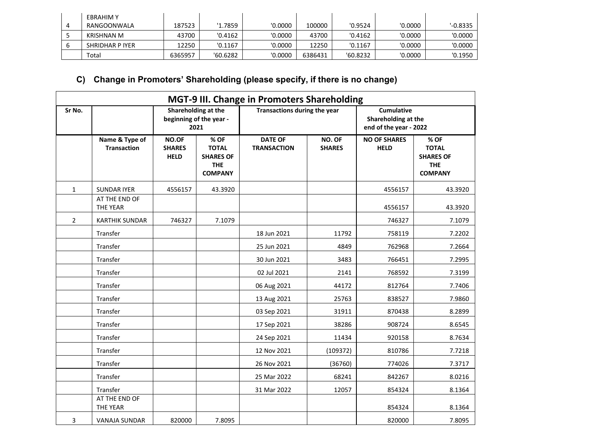| <b>EBRAHIM Y</b>  |         |          |         |         |          |         |           |
|-------------------|---------|----------|---------|---------|----------|---------|-----------|
| RANGOONWALA       | 187523  | '1.7859  | '0.0000 | 100000  | '0.9524  | '0.0000 | $-0.8335$ |
| <b>KRISHNAN M</b> | 43700   | '0.4162  | '0.0000 | 43700   | '0.4162  | '0.0000 | '0.0000   |
| SHRIDHAR P IYER   | 12250   | '0.1167  | '0.0000 | 12250   | '0.1167  | '0.0000 | '0.0000   |
| Total             | 6365957 | '60.6282 | '0.0000 | 6386431 | '60.8232 | '0.0000 | '0.1950   |

# **C) Change in Promoters' Shareholding (please specify, if there is no change)**

|                |                                      |                                       |                                                                          | MGT-9 III. Change in Promoters Shareholding |                         |                                                             |                                                                          |  |
|----------------|--------------------------------------|---------------------------------------|--------------------------------------------------------------------------|---------------------------------------------|-------------------------|-------------------------------------------------------------|--------------------------------------------------------------------------|--|
| Sr No.         |                                      |                                       | Shareholding at the<br>beginning of the year -<br>2021                   | Transactions during the year                |                         | Cumulative<br>Shareholding at the<br>end of the year - 2022 |                                                                          |  |
|                | Name & Type of<br><b>Transaction</b> | NO.OF<br><b>SHARES</b><br><b>HELD</b> | % OF<br><b>TOTAL</b><br><b>SHARES OF</b><br><b>THE</b><br><b>COMPANY</b> | <b>DATE OF</b><br><b>TRANSACTION</b>        | NO. OF<br><b>SHARES</b> | <b>NO OF SHARES</b><br><b>HELD</b>                          | % OF<br><b>TOTAL</b><br><b>SHARES OF</b><br><b>THE</b><br><b>COMPANY</b> |  |
| $\mathbf{1}$   | <b>SUNDAR IYER</b>                   | 4556157                               | 43.3920                                                                  |                                             |                         | 4556157                                                     | 43.3920                                                                  |  |
|                | AT THE END OF<br>THE YEAR            |                                       |                                                                          |                                             |                         | 4556157                                                     | 43.3920                                                                  |  |
| $\overline{2}$ | <b>KARTHIK SUNDAR</b>                | 746327                                | 7.1079                                                                   |                                             |                         | 746327                                                      | 7.1079                                                                   |  |
|                | Transfer                             |                                       |                                                                          | 18 Jun 2021                                 | 11792                   | 758119                                                      | 7.2202                                                                   |  |
|                | Transfer                             |                                       |                                                                          | 25 Jun 2021                                 | 4849                    | 762968                                                      | 7.2664                                                                   |  |
|                | Transfer                             |                                       |                                                                          | 30 Jun 2021                                 | 3483                    | 766451                                                      | 7.2995                                                                   |  |
|                | Transfer                             |                                       |                                                                          | 02 Jul 2021                                 | 2141                    | 768592                                                      | 7.3199                                                                   |  |
|                | Transfer                             |                                       |                                                                          | 06 Aug 2021                                 | 44172                   | 812764                                                      | 7.7406                                                                   |  |
|                | Transfer                             |                                       |                                                                          | 13 Aug 2021                                 | 25763                   | 838527                                                      | 7.9860                                                                   |  |
|                | Transfer                             |                                       |                                                                          | 03 Sep 2021                                 | 31911                   | 870438                                                      | 8.2899                                                                   |  |
|                | Transfer                             |                                       |                                                                          | 17 Sep 2021                                 | 38286                   | 908724                                                      | 8.6545                                                                   |  |
|                | Transfer                             |                                       |                                                                          | 24 Sep 2021                                 | 11434                   | 920158                                                      | 8.7634                                                                   |  |
|                | Transfer                             |                                       |                                                                          | 12 Nov 2021                                 | (109372)                | 810786                                                      | 7.7218                                                                   |  |
|                | Transfer                             |                                       |                                                                          | 26 Nov 2021                                 | (36760)                 | 774026                                                      | 7.3717                                                                   |  |
|                | Transfer                             |                                       |                                                                          | 25 Mar 2022                                 | 68241                   | 842267                                                      | 8.0216                                                                   |  |
|                | Transfer                             |                                       |                                                                          | 31 Mar 2022                                 | 12057                   | 854324                                                      | 8.1364                                                                   |  |
|                | AT THE END OF<br>THE YEAR            |                                       |                                                                          |                                             |                         | 854324                                                      | 8.1364                                                                   |  |
| 3              | <b>VANAJA SUNDAR</b>                 | 820000                                | 7.8095                                                                   |                                             |                         | 820000                                                      | 7.8095                                                                   |  |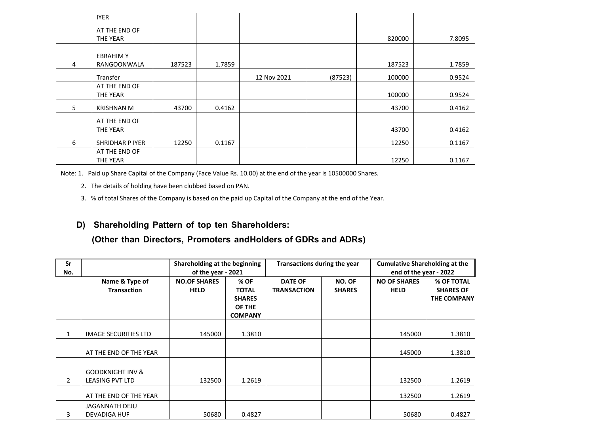|                | <b>IYER</b>                           |        |        |             |         |        |        |
|----------------|---------------------------------------|--------|--------|-------------|---------|--------|--------|
|                | AT THE END OF<br>THE YEAR             |        |        |             |         | 820000 | 7.8095 |
| $\overline{4}$ | <b>EBRAHIMY</b><br><b>RANGOONWALA</b> | 187523 | 1.7859 |             |         | 187523 | 1.7859 |
|                | Transfer                              |        |        | 12 Nov 2021 | (87523) | 100000 | 0.9524 |
|                | AT THE END OF<br>THE YEAR             |        |        |             |         | 100000 | 0.9524 |
| 5              | <b>KRISHNAN M</b>                     | 43700  | 0.4162 |             |         | 43700  | 0.4162 |
|                | AT THE END OF<br>THE YEAR             |        |        |             |         | 43700  | 0.4162 |
| 6              | SHRIDHAR P IYER                       | 12250  | 0.1167 |             |         | 12250  | 0.1167 |
|                | AT THE END OF<br><b>THE YEAR</b>      |        |        |             |         | 12250  | 0.1167 |

Note: 1. Paid up Share Capital of the Company (Face Value Rs. 10.00) at the end of the year is 10500000 Shares.

- 2. The details of holding have been clubbed based on PAN.
- 3. % of total Shares of the Company is based on the paid up Capital of the Company at the end of the Year.

#### **D) Shareholding Pattern of top ten Shareholders:**

#### **(Other than Directors, Promoters andHolders of GDRs and ADRs)**

| Sr<br>No.    |                                                       | Shareholding at the beginning<br><b>Cumulative Shareholding at the</b><br>Transactions during the year<br>of the year - 2021<br>end of the year - 2022 |                                                                   |                                      |                         |                                    |                                                      |
|--------------|-------------------------------------------------------|--------------------------------------------------------------------------------------------------------------------------------------------------------|-------------------------------------------------------------------|--------------------------------------|-------------------------|------------------------------------|------------------------------------------------------|
|              | Name & Type of<br><b>Transaction</b>                  | <b>NO.OF SHARES</b><br><b>HELD</b>                                                                                                                     | % OF<br><b>TOTAL</b><br><b>SHARES</b><br>OF THE<br><b>COMPANY</b> | <b>DATE OF</b><br><b>TRANSACTION</b> | NO. OF<br><b>SHARES</b> | <b>NO OF SHARES</b><br><b>HELD</b> | % OF TOTAL<br><b>SHARES OF</b><br><b>THE COMPANY</b> |
| $\mathbf{1}$ | <b>IMAGE SECURITIES LTD</b>                           | 145000                                                                                                                                                 | 1.3810                                                            |                                      |                         | 145000                             | 1.3810                                               |
|              | AT THE END OF THE YEAR                                |                                                                                                                                                        |                                                                   |                                      |                         | 145000                             | 1.3810                                               |
| 2            | <b>GOODKNIGHT INV &amp;</b><br><b>LEASING PVT LTD</b> | 132500                                                                                                                                                 | 1.2619                                                            |                                      |                         | 132500                             | 1.2619                                               |
|              | AT THE END OF THE YEAR                                |                                                                                                                                                        |                                                                   |                                      |                         | 132500                             | 1.2619                                               |
| 3            | <b>JAGANNATH DEJU</b><br><b>DEVADIGA HUF</b>          | 50680                                                                                                                                                  | 0.4827                                                            |                                      |                         | 50680                              | 0.4827                                               |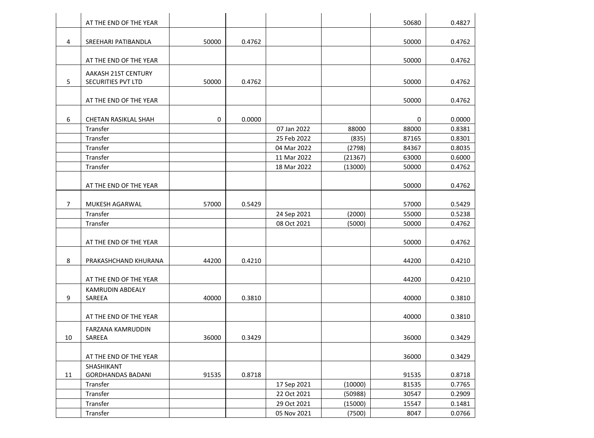|                | AT THE END OF THE YEAR   |       |        |             |         | 50680 | 0.4827 |
|----------------|--------------------------|-------|--------|-------------|---------|-------|--------|
| 4              | SREEHARI PATIBANDLA      | 50000 | 0.4762 |             |         | 50000 | 0.4762 |
|                |                          |       |        |             |         |       |        |
|                | AT THE END OF THE YEAR   |       |        |             |         | 50000 | 0.4762 |
|                | AAKASH 21ST CENTURY      |       |        |             |         |       |        |
| 5              | SECURITIES PVT LTD       | 50000 | 0.4762 |             |         | 50000 | 0.4762 |
|                | AT THE END OF THE YEAR   |       |        |             |         | 50000 | 0.4762 |
|                |                          |       |        |             |         |       |        |
| 6              | CHETAN RASIKLAL SHAH     | 0     | 0.0000 |             |         | 0     | 0.0000 |
|                | Transfer                 |       |        | 07 Jan 2022 | 88000   | 88000 | 0.8381 |
|                | Transfer                 |       |        | 25 Feb 2022 | (835)   | 87165 | 0.8301 |
|                | Transfer                 |       |        | 04 Mar 2022 | (2798)  | 84367 | 0.8035 |
|                | Transfer                 |       |        | 11 Mar 2022 | (21367) | 63000 | 0.6000 |
|                | Transfer                 |       |        | 18 Mar 2022 | (13000) | 50000 | 0.4762 |
|                | AT THE END OF THE YEAR   |       |        |             |         | 50000 | 0.4762 |
|                |                          |       |        |             |         |       |        |
| $\overline{7}$ | MUKESH AGARWAL           | 57000 | 0.5429 |             |         | 57000 | 0.5429 |
|                | Transfer                 |       |        | 24 Sep 2021 | (2000)  | 55000 | 0.5238 |
|                | Transfer                 |       |        | 08 Oct 2021 | (5000)  | 50000 | 0.4762 |
|                | AT THE END OF THE YEAR   |       |        |             |         | 50000 | 0.4762 |
|                |                          |       |        |             |         |       |        |
| 8              | PRAKASHCHAND KHURANA     | 44200 | 0.4210 |             |         | 44200 | 0.4210 |
|                | AT THE END OF THE YEAR   |       |        |             |         | 44200 | 0.4210 |
|                | <b>KAMRUDIN ABDEALY</b>  |       |        |             |         |       |        |
| 9              | SAREEA                   | 40000 | 0.3810 |             |         | 40000 | 0.3810 |
|                |                          |       |        |             |         |       |        |
|                | AT THE END OF THE YEAR   |       |        |             |         | 40000 | 0.3810 |
|                | FARZANA KAMRUDDIN        |       |        |             |         |       |        |
| 10             | SAREEA                   | 36000 | 0.3429 |             |         | 36000 | 0.3429 |
|                | AT THE END OF THE YEAR   |       |        |             |         | 36000 | 0.3429 |
|                | SHASHIKANT               |       |        |             |         |       |        |
| 11             | <b>GORDHANDAS BADANI</b> | 91535 | 0.8718 |             |         | 91535 | 0.8718 |
|                | Transfer                 |       |        | 17 Sep 2021 | (10000) | 81535 | 0.7765 |
|                | Transfer                 |       |        | 22 Oct 2021 | (50988) | 30547 | 0.2909 |
|                | Transfer                 |       |        | 29 Oct 2021 | (15000) | 15547 | 0.1481 |
|                | Transfer                 |       |        | 05 Nov 2021 | (7500)  | 8047  | 0.0766 |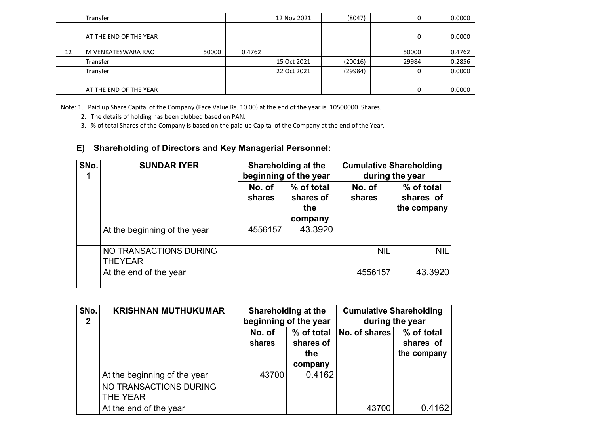|    | Transfer               |       |        | 12 Nov 2021 | (8047)  | 0     | 0.0000 |
|----|------------------------|-------|--------|-------------|---------|-------|--------|
|    | AT THE END OF THE YEAR |       |        |             |         |       | 0.0000 |
|    |                        |       |        |             |         |       |        |
| 12 | M VENKATESWARA RAO     | 50000 | 0.4762 |             |         | 50000 | 0.4762 |
|    | Transfer               |       |        | 15 Oct 2021 | (20016) | 29984 | 0.2856 |
|    | Transfer               |       |        | 22 Oct 2021 | (29984) |       | 0.0000 |
|    |                        |       |        |             |         |       |        |
|    | AT THE END OF THE YEAR |       |        |             |         |       | 0.0000 |

Note: 1. Paid up Share Capital of the Company (Face Value Rs. 10.00) at the end of the year is 10500000 Shares.

2. The details of holding has been clubbed based on PAN.

3. % of total Shares of the Company is based on the paid up Capital of the Company at the end of the Year.

### **E) Shareholding of Directors and Key Managerial Personnel:**

| SNo. | <b>SUNDAR IYER</b>                       | Shareholding at the<br>beginning of the year |                                           | <b>Cumulative Shareholding</b><br>during the year |                                        |  |
|------|------------------------------------------|----------------------------------------------|-------------------------------------------|---------------------------------------------------|----------------------------------------|--|
|      |                                          | No. of<br>shares                             | % of total<br>shares of<br>the<br>company | No. of<br>shares                                  | % of total<br>shares of<br>the company |  |
|      | At the beginning of the year             | 4556157                                      | 43.3920                                   |                                                   |                                        |  |
|      | NO TRANSACTIONS DURING<br><b>THEYEAR</b> |                                              |                                           | <b>NIL</b>                                        | <b>NIL</b>                             |  |
|      | At the end of the year                   |                                              |                                           | 4556157                                           | 43.3920                                |  |

| SNo.<br>$\mathbf{2}$ | <b>KRISHNAN MUTHUKUMAR</b>         | Shareholding at the<br>beginning of the year |                                           | <b>Cumulative Shareholding</b><br>during the year |                                        |
|----------------------|------------------------------------|----------------------------------------------|-------------------------------------------|---------------------------------------------------|----------------------------------------|
|                      |                                    | No. of<br>shares                             | % of total<br>shares of<br>the<br>company | No. of shares                                     | % of total<br>shares of<br>the company |
|                      | At the beginning of the year       | 43700                                        | 0.4162                                    |                                                   |                                        |
|                      | NO TRANSACTIONS DURING<br>THE YEAR |                                              |                                           |                                                   |                                        |
|                      | At the end of the year             |                                              |                                           | 43700                                             | 0.4162                                 |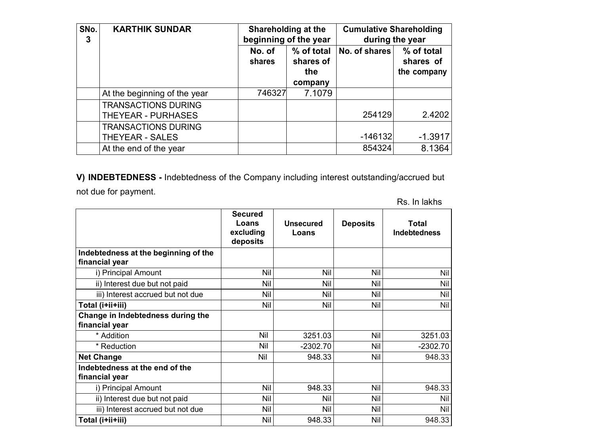| SNo.<br>3 | <b>KARTHIK SUNDAR</b>                            | Shareholding at the<br>beginning of the year |                                           | <b>Cumulative Shareholding</b><br>during the year |                                        |
|-----------|--------------------------------------------------|----------------------------------------------|-------------------------------------------|---------------------------------------------------|----------------------------------------|
|           |                                                  | No. of<br>shares                             | % of total<br>shares of<br>the<br>company | No. of shares                                     | % of total<br>shares of<br>the company |
|           | At the beginning of the year                     | 746327                                       | 7.1079                                    |                                                   |                                        |
|           | <b>TRANSACTIONS DURING</b><br>THEYEAR - PURHASES |                                              |                                           | 254129                                            | 2.4202                                 |
|           | <b>TRANSACTIONS DURING</b><br>THEYEAR - SALES    |                                              |                                           | $-146132$                                         | $-1.3917$                              |
|           | At the end of the year                           |                                              |                                           | 854324                                            | 8.1364                                 |

**V) INDEBTEDNESS -** Indebtedness of the Company including interest outstanding/accrued but

not due for payment.

Rs. In lakhs

|                                                        | <b>Secured</b><br>Loans<br>excluding<br>deposits | <b>Unsecured</b><br>Loans | <b>Deposits</b> | Total<br><b>Indebtedness</b> |
|--------------------------------------------------------|--------------------------------------------------|---------------------------|-----------------|------------------------------|
| Indebtedness at the beginning of the<br>financial year |                                                  |                           |                 |                              |
| i) Principal Amount                                    | Nil                                              | Nil                       | Nil             | Nil                          |
| ii) Interest due but not paid                          | Nil                                              | Nil                       | Nil             | Nil                          |
| iii) Interest accrued but not due                      | Nil                                              | Nil                       | Nil             | Nil                          |
| Total (i+ii+iii)                                       | Nil                                              | Nil                       | Nil             | Nil                          |
| Change in Indebtedness during the<br>financial year    |                                                  |                           |                 |                              |
| * Addition                                             | Nil                                              | 3251.03                   | Nil             | 3251.03                      |
| * Reduction                                            | Nil                                              | $-2302.70$                | Nil             | $-2302.70$                   |
| <b>Net Change</b>                                      | Nil                                              | 948.33                    | Nil             | 948.33                       |
| Indebtedness at the end of the<br>financial year       |                                                  |                           |                 |                              |
| i) Principal Amount                                    | Nil                                              | 948.33                    | Nil             | 948.33                       |
| ii) Interest due but not paid                          | Nil                                              | Nil                       | Nil             | Nil                          |
| iii) Interest accrued but not due                      | Nil                                              | Nil                       | Nil             | Nil                          |
| Total (i+ii+iii)                                       | Nil                                              | 948.33                    | Nil             | 948.33                       |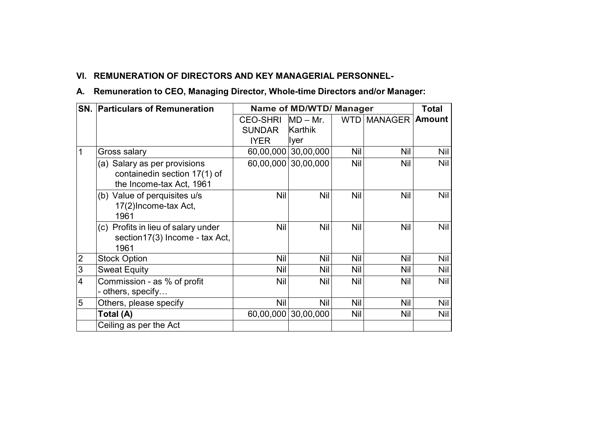# **VI. REMUNERATION OF DIRECTORS AND KEY MANAGERIAL PERSONNEL-**

### **A. Remuneration to CEO, Managing Director, Whole-time Directors and/or Manager:**

|                         | <b>SN. Particulars of Remuneration</b>                       | Name of MD/WTD/ Manager |                     | Total |                        |     |
|-------------------------|--------------------------------------------------------------|-------------------------|---------------------|-------|------------------------|-----|
|                         |                                                              | <b>CEO-SHRI</b>         | $MD - Mr.$          |       | WTD   MANAGER   Amount |     |
|                         |                                                              | <b>SUNDAR</b>           | Karthik             |       |                        |     |
|                         |                                                              | <b>IYER</b>             | Iyer                |       |                        |     |
| 1                       | Gross salary                                                 | 60,00,000               | 30,00,000           | Nil   | Nil                    | Nil |
|                         | (a) Salary as per provisions<br>containedin section 17(1) of |                         | 60,00,000 30,00,000 | Nil   | Nil                    | Nil |
|                         | the Income-tax Act, 1961                                     |                         |                     |       |                        |     |
|                         | (b) Value of perquisites u/s                                 | Nil                     | Nil                 | Nil   | Nil                    | Nil |
|                         | 17(2) Income-tax Act,<br>1961                                |                         |                     |       |                        |     |
|                         | (c) Profits in lieu of salary under                          | Nil                     | Nil                 | Nil   | Nil                    | Nil |
|                         | section17(3) Income - tax Act,<br>1961                       |                         |                     |       |                        |     |
| 2                       | <b>Stock Option</b>                                          | Nil                     | Nil                 | Nil   | Nil                    | Nil |
| $\overline{3}$          | <b>Sweat Equity</b>                                          | Nil                     | Nil                 | Nil   | Nil                    | Nil |
| $\overline{\mathbf{4}}$ | Commission - as % of profit<br>- others, specify             | Nil                     | Nil                 | Nil   | Nil                    | Nil |
| 5                       | Others, please specify                                       | Nil                     | Nil                 | Nil   | Nil                    | Nil |
|                         | Total (A)                                                    | 60,00,000               | 30,00,000           | Nil   | Nil                    | Nil |
|                         | Ceiling as per the Act                                       |                         |                     |       |                        |     |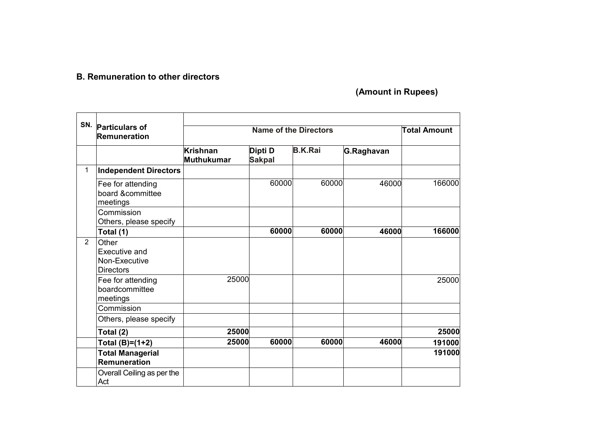### **B. Remuneration to other directors**

 **(Amount in Rupees)**

| SN.            |                                                             |                                      |                          |                |            |        |
|----------------|-------------------------------------------------------------|--------------------------------------|--------------------------|----------------|------------|--------|
|                | <b>Particulars of</b><br><b>Remuneration</b>                |                                      | <b>Total Amount</b>      |                |            |        |
|                |                                                             | <b>Krishnan</b><br><b>Muthukumar</b> | Dipti D<br><b>Sakpal</b> | <b>B.K.Rai</b> | G.Raghavan |        |
| 1              | <b>Independent Directors</b>                                |                                      |                          |                |            |        |
|                | Fee for attending<br>board &committee<br>meetings           |                                      | 60000                    | 60000          | 46000      | 166000 |
|                | Commission<br>Others, please specify                        |                                      |                          |                |            |        |
|                | Total (1)                                                   |                                      | 60000                    | 60000          | 46000      | 166000 |
| $\overline{2}$ | Other<br>Executive and<br>Non-Executive<br><b>Directors</b> |                                      |                          |                |            |        |
|                | Fee for attending<br>boardcommittee<br>meetings             | 25000                                |                          |                |            | 25000  |
|                | Commission                                                  |                                      |                          |                |            |        |
|                | Others, please specify                                      |                                      |                          |                |            |        |
|                | Total (2)                                                   | 25000                                |                          |                |            | 25000  |
|                | Total (B)=(1+2)                                             | 25000                                | 60000                    | 60000          | 46000      | 191000 |
|                | <b>Total Managerial</b><br><b>Remuneration</b>              |                                      |                          |                |            | 191000 |
|                | Overall Ceiling as per the<br>Act                           |                                      |                          |                |            |        |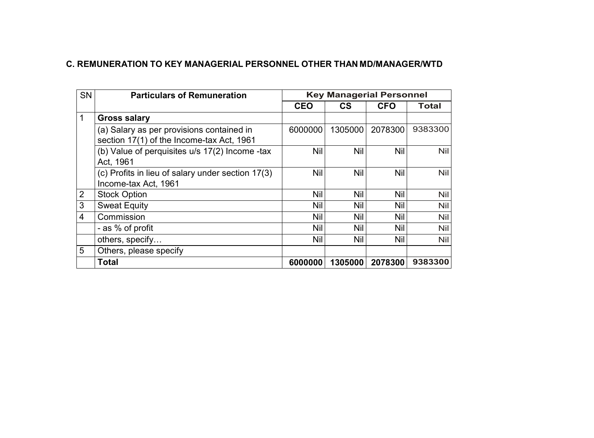### **C. REMUNERATION TO KEY MANAGERIAL PERSONNEL OTHER THAN MD/MANAGER/WTD**

| <b>SN</b> | <b>Particulars of Remuneration</b>                                                     | <b>Key Managerial Personnel</b> |         |            |            |  |
|-----------|----------------------------------------------------------------------------------------|---------------------------------|---------|------------|------------|--|
|           |                                                                                        | <b>CEO</b>                      | CS      | <b>CFO</b> | Total      |  |
| 1         | <b>Gross salary</b>                                                                    |                                 |         |            |            |  |
|           | (a) Salary as per provisions contained in<br>section 17(1) of the Income-tax Act, 1961 | 6000000                         | 1305000 | 2078300    | 9383300    |  |
|           | (b) Value of perquisites u/s 17(2) Income -tax<br>Act, 1961                            | Nil                             | Nil     | Nil        | <b>Nil</b> |  |
|           | (c) Profits in lieu of salary under section 17(3)<br>Income-tax Act, 1961              | Nil                             | Nil     | Nil        | Nil        |  |
| 2         | <b>Stock Option</b>                                                                    | Nil                             | Nil     | Nil        | Nil        |  |
| 3         | <b>Sweat Equity</b>                                                                    | Nil                             | Nil     | Nil        | Nil        |  |
| 4         | Commission                                                                             | Nil                             | Nil     | Nil        | Nil        |  |
|           | - as % of profit                                                                       | Nil                             | Nil     | Nil        | Nil        |  |
|           | others, specify                                                                        | Nil                             | Nil     | Nil        | Nil        |  |
| 5         | Others, please specify                                                                 |                                 |         |            |            |  |
|           | <b>Total</b>                                                                           | 6000000                         | 1305000 | 2078300    | 9383300    |  |